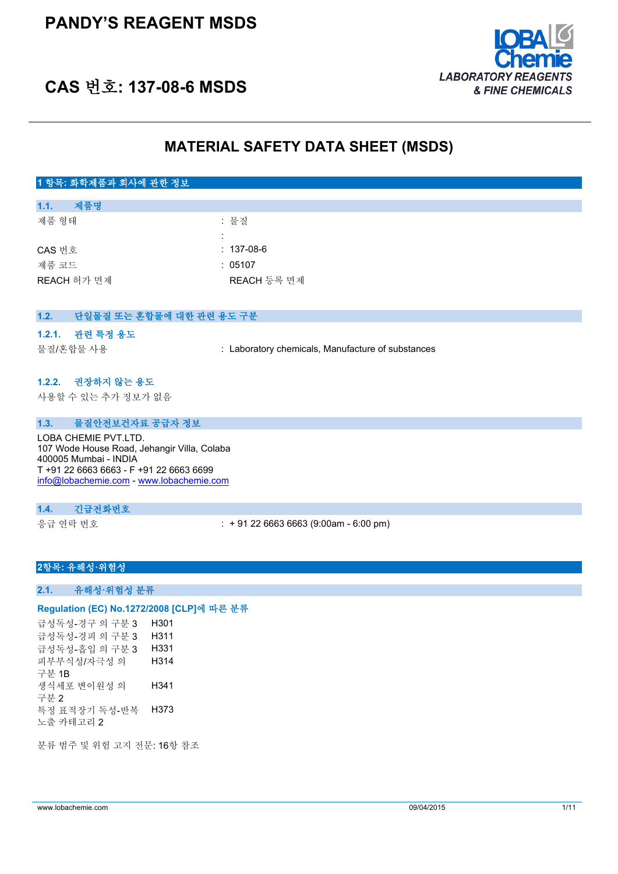## **PANDY'S REAGENT MSDS**



## **CAS 번호: 137-08-6 MSDS**

## **MATERIAL SAFETY DATA SHEET (MSDS)**

| 1 항목: 화학제품과 회사에 관한 정보                                                                                                                                                               |                                                   |
|-------------------------------------------------------------------------------------------------------------------------------------------------------------------------------------|---------------------------------------------------|
|                                                                                                                                                                                     |                                                   |
| 제품명<br>1.1.                                                                                                                                                                         |                                                   |
| 제품 형태                                                                                                                                                                               | : 물질                                              |
|                                                                                                                                                                                     |                                                   |
| CAS 번호                                                                                                                                                                              | $: 137-08-6$                                      |
| 제품 코드                                                                                                                                                                               | : 05107                                           |
| REACH 허가 면제                                                                                                                                                                         | REACH 등록 면제                                       |
|                                                                                                                                                                                     |                                                   |
| 1.2.<br>단일물질 또는 혼합물에 대한 관련 용도 구분                                                                                                                                                    |                                                   |
|                                                                                                                                                                                     |                                                   |
| 1.2.1. 관련 특정 용도                                                                                                                                                                     |                                                   |
| 물질/혼합물 사용                                                                                                                                                                           | : Laboratory chemicals, Manufacture of substances |
|                                                                                                                                                                                     |                                                   |
| 1.2.2. 권장하지 않는 용도                                                                                                                                                                   |                                                   |
| 사용할 수 있는 추가 정보가 없음                                                                                                                                                                  |                                                   |
|                                                                                                                                                                                     |                                                   |
| 물질안전보건자료 공급자 정보<br>1.3.                                                                                                                                                             |                                                   |
| LOBA CHEMIE PVT.LTD.<br>107 Wode House Road, Jehangir Villa, Colaba<br>400005 Mumbai - INDIA<br>T +91 22 6663 6663 - F +91 22 6663 6699<br>info@lobachemie.com - www.lobachemie.com |                                                   |

#### **1.4. 긴급전화번호**

응급 연락 번호 : + 91 22 6663 6663 (9:00am - 6:00 pm)

### **2항목: 유해성·위험성**

#### **2.1. 유해성·위험성 분류**

#### **Regulation (EC) No.1272/2008 [CLP]에 따른 분류**

급성독성-경구 의 구분 3 H301 급성독성-경피 의 구분 3 H311 급성독성-흡입 의 구분 3 H331 피부부식성/자극성 의 구분 1B H314 생식세포 변이원성 의 구분 2 H341 특정 표적장기 독성-반복 H373 노출 카테고리 2

분류 범주 및 위험 고지 전문: 16항 참조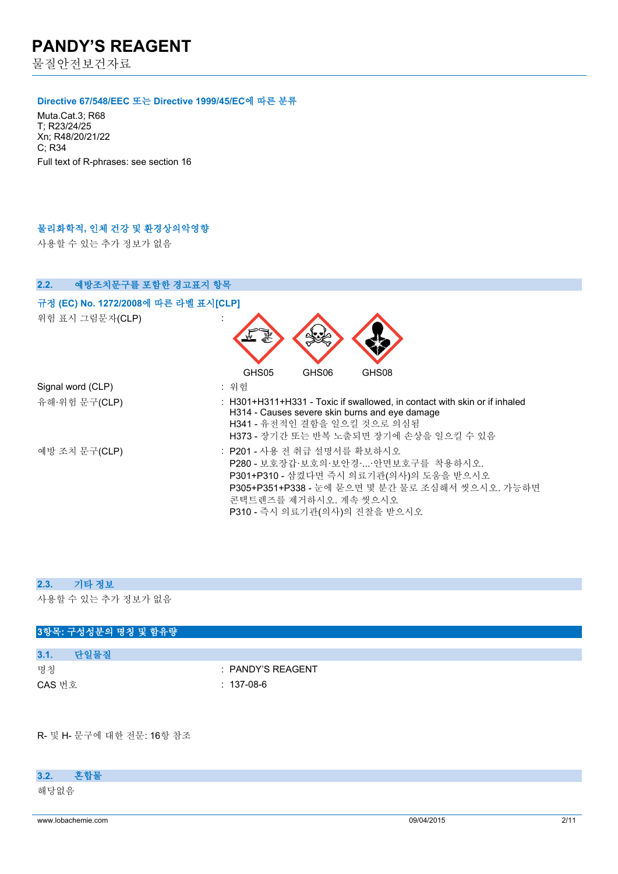물질안전보건자료

#### **Directive 67/548/EEC 또는 Directive 1999/45/EC에 따른 분류**

Muta.Cat.3; R68 T; R23/24/25 Xn; R48/20/21/22 C; R34 Full text of R-phrases: see section 16

#### **물리화학적, 인체 건강 및 환경상의악영향**

사용할 수 있는 추가 정보가 없음

| 2.2.<br>예방조치문구를 포함한 경고표지 항목                             |                                                                                                                                                                                                                                         |
|---------------------------------------------------------|-----------------------------------------------------------------------------------------------------------------------------------------------------------------------------------------------------------------------------------------|
| 규정 (EC) No. 1272/2008에 따른 라벨 표시[CLP]<br>위험 표시 그림문자(CLP) |                                                                                                                                                                                                                                         |
| Signal word (CLP)<br>유해·위험 문구(CLP)                      | GHS05<br>GHS06<br>GHS08<br>: 위험<br>: H301+H311+H331 - Toxic if swallowed, in contact with skin or if inhaled<br>H314 - Causes severe skin burns and eye damage<br>H341 - 유전적인 결함을 일으킬 것으로 의심됨<br>H373 - 장기간 또는 반복 노출되면 장기에 손상을 일으킬 수 있음 |
| 예방 조치 문구(CLP)                                           | : P201 - 사용 전 취급 설명서를 확보하시오<br>P280 - 보호장갑·보호의·보안경·아면보호구를 착용하시오.<br>P301+P310 - 삼켰다면 즉시 의료기관(의사)의 도움을 받으시오<br>P305+P351+P338 - 눈에 묻으면 몇 분간 물로 조심해서 씻으시오. 가능하면<br>콘택트렌즈를 제거하시오. 계속 씻으시오<br>P310 - 즉시 의료기관(의사)의 진찰을 받으시오                  |

#### **2.3. 기타 정보**

사용할 수 있는 추가 정보가 없음

# **3항목: 구성성분의 명칭 및 함유량 3.1. 단일물질** 명칭 : PANDY'S REAGENT CAS 번호 : 137-08-6

R- 및 H- 문구에 대한 전문: 16항 참조

### **3.2. 혼합물**

해당없음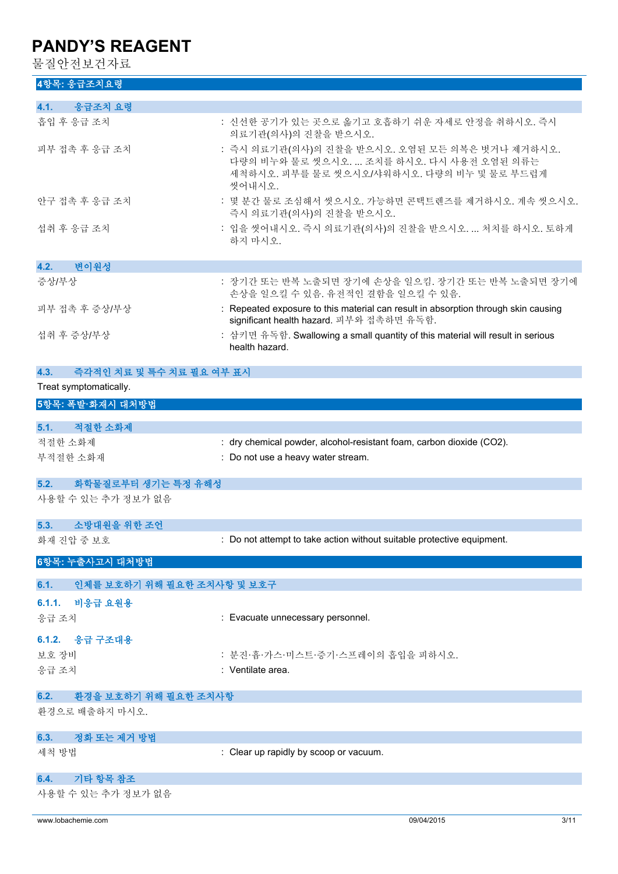물질안전보건자료

| 4항목: 응급조치요령 |  |
|-------------|--|
|             |  |

| 응급조치 요령<br>4.1.                    |                                                                                                                                                     |
|------------------------------------|-----------------------------------------------------------------------------------------------------------------------------------------------------|
| 흡입 후 응급 조치                         | : 신선한 공기가 있는 곳으로 옮기고 호흡하기 쉬운 자세로 안정을 취하시오. 즉시                                                                                                       |
|                                    | 의료기관(의사)의 진찰을 받으시오.                                                                                                                                 |
| 피부 접촉 후 응급 조치                      | : 즉시 의료기관(의사)의 진찰을 받으시오. 오염된 모든 의복은 벗거나 제거하시오.<br>다량의 비누와 물로 씻으시오.  조치를 하시오. 다시 사용전 오염된 의류는<br>세척하시오. 피부를 물로 씻으시오/샤워하시오. 다량의 비누 및 물로 부드럽게<br>씻어내시오. |
| 안구 접촉 후 응급 조치                      | : 몇 분간 물로 조심해서 씻으시오. 가능하면 콘택트렌즈를 제거하시오. 계속 씻으시오.<br>즉시 의료기관(의사)의 진찰을 받으시오.                                                                          |
| 섭취 후 응급 조치                         | : 입을 씻어내시오. 즉시 의료기관(의사)의 진찰을 받으시오.  처치를 하시오. 토하게<br>하지 마시오.                                                                                         |
| 4.2.<br>변이원성                       |                                                                                                                                                     |
| 증상/부상                              | : 장기간 또는 반복 노출되면 장기에 손상을 일으킴. 장기간 또는 반복 노출되면 장기에<br>손상을 일으킬 수 있음. 유전적인 결함을 일으킬 수 있음.                                                                |
| 피부 접촉 후 증상/부상                      | : Repeated exposure to this material can result in absorption through skin causing<br>significant health hazard. 피부와 접촉하면 유독함.                      |
| 섭취 후 증상/부상                         | : 삼키면 유독함. Swallowing a small quantity of this material will result in serious<br>health hazard.                                                    |
| 4.3.<br>즉각적인 치료 및 특수 치료 필요 여부 표시   |                                                                                                                                                     |
| Treat symptomatically.             |                                                                                                                                                     |
| 5항목: 폭발·화재시 대처방법                   |                                                                                                                                                     |
| 5.1. 적절한 소화제                       |                                                                                                                                                     |
| 적절한 소화제                            | : dry chemical powder, alcohol-resistant foam, carbon dioxide (CO2).                                                                                |
| 부적절한 소화재                           | : Do not use a heavy water stream.                                                                                                                  |
| 화학물질로부터 생기는 특정 유해성<br>5.2.         |                                                                                                                                                     |
| 사용할 수 있는 추가 정보가 없음                 |                                                                                                                                                     |
| 소방대원을 위한 조언<br>5.3.                |                                                                                                                                                     |
| 화재 진압 중 보호                         | : Do not attempt to take action without suitable protective equipment.                                                                              |
| 6항목: 누출사고시 대처방법                    |                                                                                                                                                     |
| 6.1.<br>인체를 보호하기 위해 필요한 조치사항 및 보호구 |                                                                                                                                                     |
| 6.1.1.<br>비응급 요원용                  |                                                                                                                                                     |
| 응급 조치                              | : Evacuate unnecessary personnel.                                                                                                                   |
| 6.1.2. 응급 구조대용                     |                                                                                                                                                     |
| 보호 장비                              | : 분진·흄·가스·미스트·증기·스프레이의 흡입을 피하시오.                                                                                                                    |
| 응급 조치                              | : Ventilate area.                                                                                                                                   |
| 6.2.<br>환경을 보호하기 위해 필요한 조치사항       |                                                                                                                                                     |
| 환경으로 배출하지 마시오.                     |                                                                                                                                                     |
| 6.3.<br>정화 또는 제거 방법                |                                                                                                                                                     |
| 세척 방법                              | : Clear up rapidly by scoop or vacuum.                                                                                                              |
| 기타 항목 참조<br>6.4.                   |                                                                                                                                                     |
| 사용할 수 있는 추가 정보가 없음                 |                                                                                                                                                     |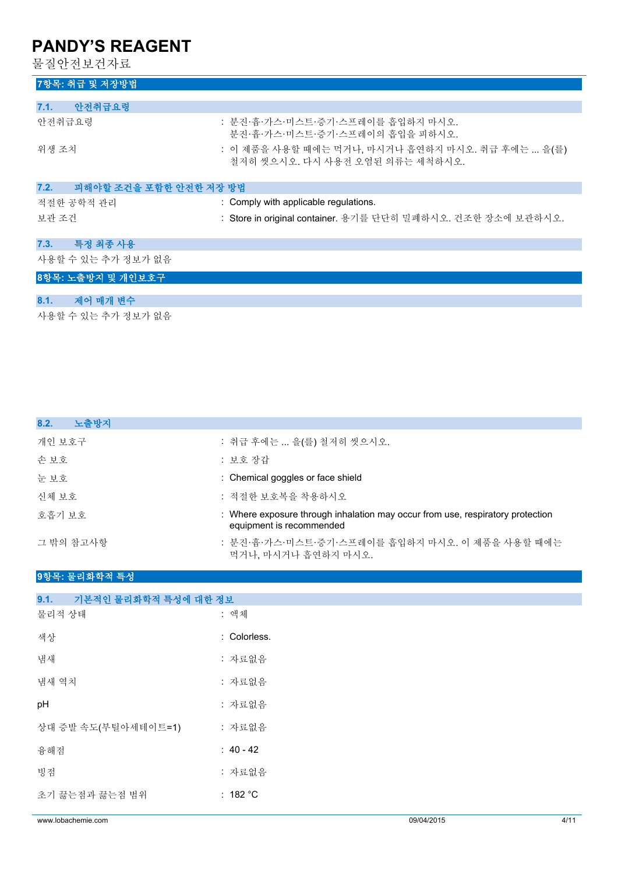물질안전보건자료

| 7항목: 취급 및 저장방법                 |                                                                                     |
|--------------------------------|-------------------------------------------------------------------------------------|
|                                |                                                                                     |
| 안전취급요령<br>7.1.                 |                                                                                     |
| 안전취급요령                         | : 분진·흄·가스·미스트·증기·스프레이를 흡입하지 마시오.<br>분진·흄·가스·미스트·증기·스프레이의 흡입을 피하시오.                  |
| 위생 조치                          | : 이 제품을 사용할 때에는 먹거나, 마시거나 흡연하지 마시오. 취급 후에는  을(를)<br>철저히 씻으시오. 다시 사용전 오염된 의류는 세척하시오. |
| 피해야할 조건을 포함한 안전한 저장 방법<br>7.2. |                                                                                     |
| 적절한 공학적 관리                     | : Comply with applicable regulations.                                               |
| 보관 조건                          | : Store in original container. 용기를 단단히 밀폐하시오. 건조한 장소에 보관하시오.                        |
| 특정 최종 사용<br>7.3.               |                                                                                     |
| 사용할 수 있는 추가 정보가 없음             |                                                                                     |
| 8항목: 노출방지 및 개인보호구              |                                                                                     |
| 제어 매개 변수<br>8.1.               |                                                                                     |

사용할 수 있는 추가 정보가 없음

| : 취급 후에는  을(를) 철저히 씻으시오.                                                                                   |
|------------------------------------------------------------------------------------------------------------|
| : 보호 장갑                                                                                                    |
| : Chemical goggles or face shield                                                                          |
| : 적절하 보호복을 착용하시오                                                                                           |
| : Where exposure through inhalation may occur from use, respiratory protection<br>equipment is recommended |
| : 분진·흄·가스·미스트·증기·스프레이를 흡입하지 마시오. 이 제품을 사용할 때에는<br>먹거나, 마시거나 흡연하지 마시오.                                      |
|                                                                                                            |

### **9항목: 물리화학적 특성**

| 기본적인 물리화학적 특성에 대한 정보<br>9.1. |              |
|------------------------------|--------------|
| 물리적 상태                       | : 액체         |
| 색상                           | : Colorless. |
| 냄새                           | : 자료없음       |
| 냄새 역치                        | : 자료없음       |
| pH                           | : 자료없음       |
| 상대 증발 속도(부틸아세테이트=1)          | : 자료없음       |
| 융해점                          | $: 40 - 42$  |
| 빙점                           | : 자료없음       |
| 초기 끓는점과 끓는점 범위               | : $182 °C$   |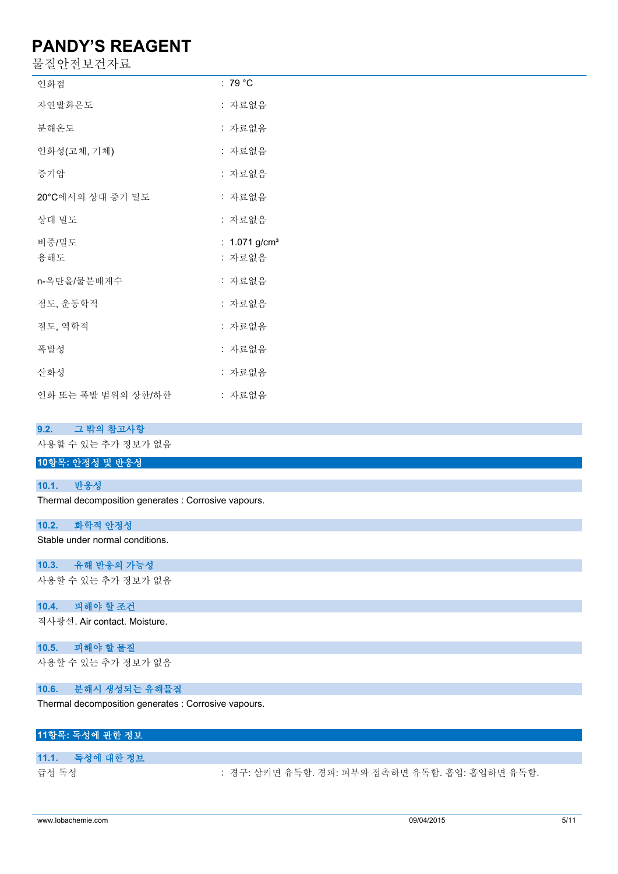물질안전보건자료

| 인화점                | : 79 °C                   |
|--------------------|---------------------------|
| 자연발화온도             | : 자료없음                    |
| 분해온도               | : 자료없음                    |
| 인화성(고체, 기체)        | : 자료없음                    |
| 증기압                | : 자료없음                    |
| 20°C에서의 상대 증기 밀도   | : 자료없음                    |
| 상대 밀도              | : 자료없음                    |
| 비중/밀도              | : 1.071 g/cm <sup>3</sup> |
| 용해도                | : 자료없음                    |
| n-옥탄올/물분배계수        | : 자료없음                    |
| 점도, 운동학적           | : 자료없음                    |
| 점도, 역학적            | : 자료없음                    |
| 폭발성                | : 자료없음                    |
| 산화성                | : 자료없음                    |
| 인화 또는 폭발 범위의 상한/하한 | : 자료없음                    |

### **9.2. 그 밖의 참고사항**

사용할 수 있는 추가 정보가 없음

### **10항목: 안정성 및 반응성**

#### **10.1. 반응성**

Thermal decomposition generates : Corrosive vapours.

#### **10.2. 화학적 안정성**

Stable under normal conditions.

#### **10.3. 유해 반응의 가능성**

사용할 수 있는 추가 정보가 없음

#### **10.4. 피해야 할 조건**

직사광선. Air contact. Moisture.

#### **10.5. 피해야 할 물질**

사용할 수 있는 추가 정보가 없음

#### **10.6. 분해시 생성되는 유해물질**

Thermal decomposition generates : Corrosive vapours.

### **11항목: 독성에 관한 정보**

#### **11.1. 독성에 대한 정보**

급성 독성 : 73 . 20 . 73 . 경구: 삼키면 유독함. 경피: 피부와 접촉하면 유독함. 흡입: 흡입하면 유독함.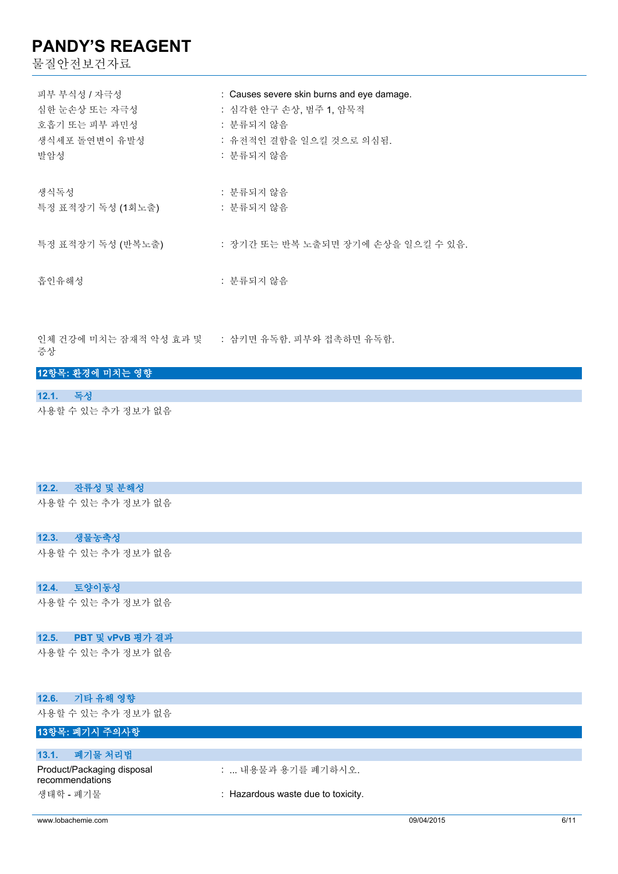물질안전보건자료

| 피부 부식성 / 자극성      | : Causes severe skin burns and eye damage. |
|-------------------|--------------------------------------------|
| 심한 눈손상 또는 자극성     | : 심각한 안구 손상, 범주 1, 암묵적                     |
| 호흡기 또는 피부 과민성     | : 분류되지 않음                                  |
| 생식세포 돌연변이 유발성     | : 유전적인 결함을 일으킬 것으로 의심됨.                    |
| 발암성               | : 분류되지 않음                                  |
| 생식독성              | : 분류되지 않음                                  |
| 특정 표적장기 독성 (1회노출) | : 분류되지 않음                                  |
| 특정 표적장기 독성 (반복노출) | : 장기간 또는 반복 노출되면 장기에 손상을 일으킬 수 있음.         |
| 흡인유해성             | : 분류되지 않음                                  |

인체 건강에 미치는 잠재적 악성 효과 및 : 삼키면 유독함. 피부와 접촉하면 유독함. 증상

#### **12항목: 환경에 미치는 영향**

**12.1. 독성** 사용할 수 있는 추가 정보가 없음

#### **12.2. 잔류성 및 분해성**

사용할 수 있는 추가 정보가 없음

#### **12.3. 생물농축성**

사용할 수 있는 추가 정보가 없음

### **12.4. 토양이동성**

사용할 수 있는 추가 정보가 없음

#### **12.5. PBT 및 vPvB 평가 결과**

사용할 수 있는 추가 정보가 없음

| 12.6. 기타 유해 영향                                |                                    |
|-----------------------------------------------|------------------------------------|
| 사용할 수 있는 추가 정보가 없음                            |                                    |
| 13항목: 폐기시 주의사항                                |                                    |
|                                               |                                    |
| 폐기물 처리법<br>13.1.                              |                                    |
| Product/Packaging disposal<br>recommendations | :  내용물과 용기를 폐기하시오.                 |
| 생태학 - 폐기물                                     | : Hazardous waste due to toxicity. |

www.lobachemie.com 09/04/2015 6/11 100 minimum 6/11 100 minimum 6/11 100 minimum 6/11 100 minimum 6/11 100 minimum 6/11 100 minimum 6/11 100 minimum 6/11 100 minimum 6/11 100 minimum 6/11 10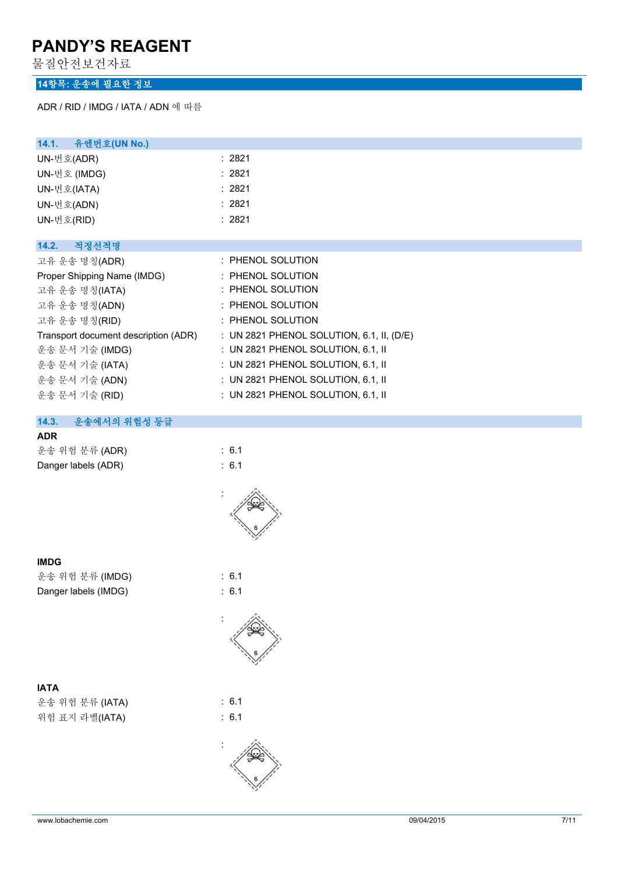물질안전보건자료

### **14항목: 운송에 필요한 정보**

ADR / RID / IMDG / IATA / ADN 에 따름

| 14.1. 유엔번호(UN No.)                   |                                           |
|--------------------------------------|-------------------------------------------|
| UN-번호(ADR)                           | : 2821                                    |
| UN-번호 (IMDG)                         | : 2821                                    |
| UN-번호(IATA)                          | : 2821                                    |
| UN-번호(ADN)                           | : 2821                                    |
| UN-번호(RID)                           | : 2821                                    |
|                                      |                                           |
| 14.2.<br>적정선적명                       |                                           |
| 고유 운송 명칭(ADR)                        | $\therefore$ PHENOL SOLUTION              |
| Proper Shipping Name (IMDG)          | : PHENOL SOLUTION                         |
| 고유 운송 명칭(IATA)                       | $\therefore$ PHENOL SOLUTION              |
| 고유 운송 명칭(ADN)                        | $\therefore$ PHENOL SOLUTION              |
| 고유 운송 명칭(RID)                        | : PHENOL SOLUTION                         |
| Transport document description (ADR) | : UN 2821 PHENOL SOLUTION, 6.1, II, (D/E) |
| 운송 문서 기술 (IMDG)                      | : UN 2821 PHENOL SOLUTION, $6.1$ , II     |
| 운송 문서 기술 (IATA)                      | : UN 2821 PHENOL SOLUTION, 6.1, II        |
| 운송 문서 기술 (ADN)                       | : UN 2821 PHENOL SOLUTION, 6.1, II        |
| 운송 문서 기술 (RID)                       | : UN 2821 PHENOL SOLUTION, $6.1$ , II     |
|                                      |                                           |

### **14.3. 운송에서의 위험성 등급**

#### **ADR**

| 운송 위험 분류 (ADR)      | $\therefore$ 6.1 |
|---------------------|------------------|
| Danger labels (ADR) | $\therefore$ 6.1 |



#### **IMDG**

운송 위험 분류 (IMDG) : 6.1 Danger labels (IMDG) : 6.1

### **IATA**

운송 위험 분류 (IATA) : 6.1 위험 표지 라벨(IATA) : 6.1



:



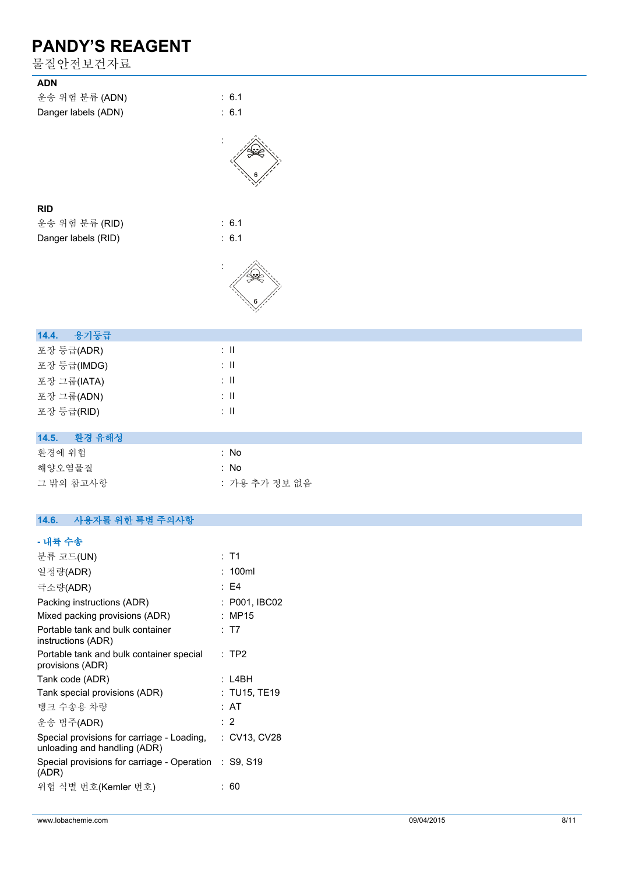물질안전보건자료

| 불질안전보건자료                 |                           |
|--------------------------|---------------------------|
| <b>ADN</b>               |                           |
| 운송 위험 분류 (ADN)           | : 6.1                     |
| Danger labels (ADN)      | : 6.1                     |
|                          |                           |
| <b>RID</b>               |                           |
| 운송 위험 분류 (RID)           | : 6.1                     |
| Danger labels (RID)      | : 6.1                     |
|                          |                           |
|                          |                           |
| 14.4.<br>용기등급            |                           |
| 포장 등급(ADR)               | $\pm$ 11                  |
| 포장 등급(IMDG)              | $\lesssim 11$             |
| 포장 그룹(IATA)              | $\colon \, \mathrm{II}$   |
| 포장 그룹(ADN)               | $\colon \, \mathrm{I\!I}$ |
| 포장 등급(RID)               | $\div$ II                 |
| 환경 유해성<br>14.5.          |                           |
| 환경에 위험                   | : No                      |
| 해양오염물질                   | : No                      |
| 그 밖의 참고사항                | : 가용 추가 정보 없음             |
|                          |                           |
| 14.6.<br>사용자를 위한 특별 주의사항 |                           |
| - 내륙 수송                  |                           |
| 분류 코드(UN)                | : T1                      |

| 일정량(ADR)                                                                   | : 100ml       |
|----------------------------------------------------------------------------|---------------|
| 극소량(ADR)                                                                   | : F4          |
| Packing instructions (ADR)                                                 | : P001, IBC02 |
| Mixed packing provisions (ADR)                                             | : MP15        |
| Portable tank and bulk container<br>instructions (ADR)                     | : T7          |
| Portable tank and bulk container special<br>provisions (ADR)               | $:$ TP2       |
| Tank code (ADR)                                                            | : L4BH        |
| Tank special provisions (ADR)                                              | : TU15, TE19  |
| 탱크 수송용 차량                                                                  | : AT          |
| 운송 범주(ADR)                                                                 | : 2           |
| Special provisions for carriage - Loading,<br>unloading and handling (ADR) | : CV13, CV28  |
| Special provisions for carriage - Operation : S9, S19<br>(ADR)             |               |
| 위험 식별 번호(Kemler 번호)                                                        | 60            |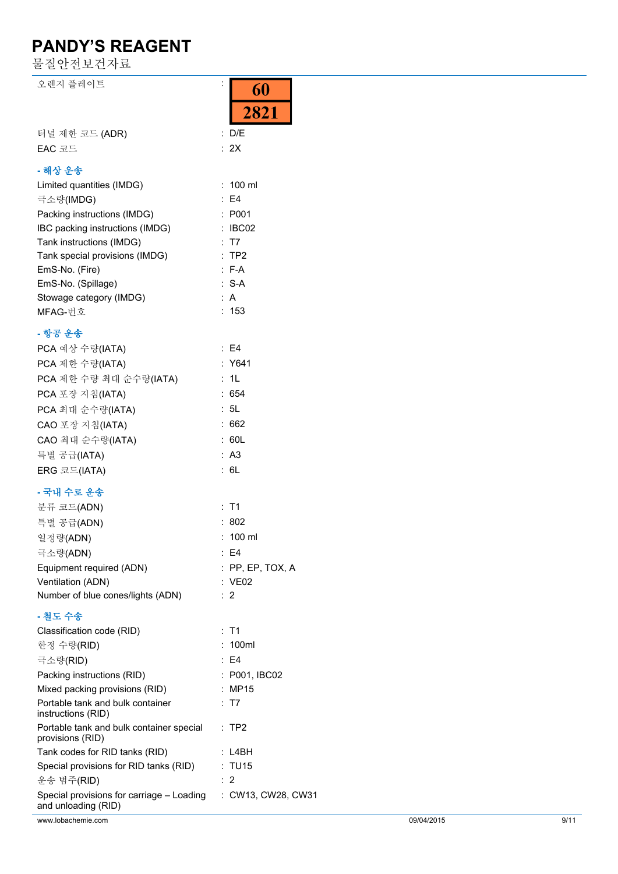물질안전보건자료

| 오렌지 플레이트                                                         | İ,<br>60<br>2821        |
|------------------------------------------------------------------|-------------------------|
| 터널 제한 코드 (ADR)                                                   | : D/E                   |
| EAC 코드                                                           | : 2X                    |
| - 해상 운송                                                          |                         |
| Limited quantities (IMDG)                                        | $: 100$ ml              |
| 극소량(IMDG)                                                        | : E4                    |
| Packing instructions (IMDG)                                      | : P001                  |
| IBC packing instructions (IMDG)                                  | : IBC02                 |
| Tank instructions (IMDG)                                         | : T7                    |
| Tank special provisions (IMDG)                                   | :TP2                    |
| EmS-No. (Fire)                                                   | $: F-A$                 |
| EmS-No. (Spillage)                                               | $: S-A$                 |
| Stowage category (IMDG)                                          | : A                     |
| MFAG-번호                                                          | : 153                   |
| - 항공 운송                                                          |                         |
| PCA 예상 수량(IATA)                                                  | $\therefore$ E4         |
| PCA 제한 수량(IATA)                                                  | : Y641                  |
| PCA 제한 수량 최대 순수량(IATA)                                           | : 1L                    |
| PCA 포장 지침(IATA)                                                  | : 654                   |
| PCA 최대 순수량(IATA)                                                 | : 5L                    |
| CAO 포장 지침(IATA)                                                  | :662                    |
| CAO 최대 순수량(IATA)                                                 | : 60L                   |
| 특별 공급(IATA)                                                      | : A3                    |
| ERG 코드(IATA)                                                     | : 6L                    |
| - 국내 수로 운송                                                       |                         |
| 분류 코드(ADN)                                                       | : T1                    |
| 특별 공급(ADN)                                                       | : 802                   |
| 일정량(ADN)                                                         | : 100 ml                |
|                                                                  | $\therefore$ E4         |
| 극소량(ADN)<br>Equipment required (ADN)                             | $:$ PP, EP, TOX, A      |
| Ventilation (ADN)                                                | : VE02                  |
| Number of blue cones/lights (ADN)                                | $\therefore$ 2          |
|                                                                  |                         |
| - 철도 수송                                                          |                         |
| Classification code (RID)<br>한정 수량(RID)                          | $:$ T1<br>: 100ml       |
|                                                                  | $\therefore$ E4         |
| 극소량(RID)                                                         |                         |
| Packing instructions (RID)<br>Mixed packing provisions (RID)     | : P001, IBC02<br>: MP15 |
| Portable tank and bulk container<br>instructions (RID)           | : T7                    |
| Portable tank and bulk container special<br>provisions (RID)     | $\therefore$ TP2        |
| Tank codes for RID tanks (RID)                                   | :L4BH                   |
| Special provisions for RID tanks (RID)                           | : TU15                  |
| 운송 범주(RID)                                                       | $\therefore$ 2          |
| Special provisions for carriage - Loading<br>and unloading (RID) | : CW13, CW28, CW31      |
| www.lobachemie.com                                               | 09/04/2015              |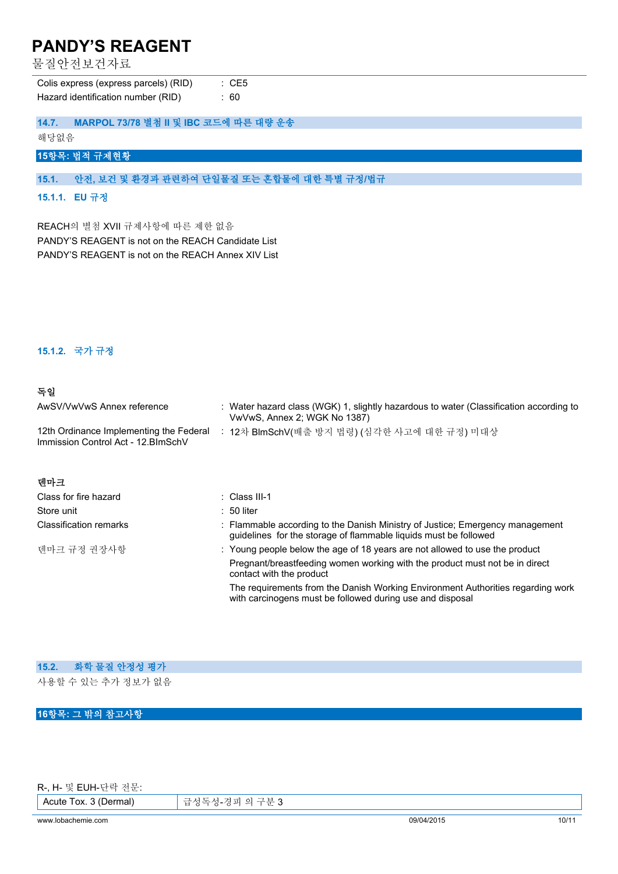물질안전보건자료

| Colis express (express parcels) (RID) | : CE5 |
|---------------------------------------|-------|
| Hazard identification number (RID)    | : 60  |

| 14.7. |  |  | MARPOL 73/78 별첨 II 및 IBC 코드에 따른 대량 운송 |
|-------|--|--|---------------------------------------|
|-------|--|--|---------------------------------------|

해당없음

### **15항목: 법적 규제현황**

**15.1. 안전, 보건 및 환경과 관련하여 단일물질 또는 혼합물에 대한 특별 규정/법규**

#### **15.1.1. EU 규정**

REACH의 별첨 XVII 규제사항에 따른 제한 없음 PANDY'S REAGENT is not on the REACH Candidate List PANDY'S REAGENT is not on the REACH Annex XIV List

### **15.1.2. 국가 규정**

### **독일**

| AwSV/VwVwS Annex reference                                                     | : Water hazard class (WGK) 1, slightly hazardous to water (Classification according to<br>VwVwS, Annex 2; WGK No 1387)                            |
|--------------------------------------------------------------------------------|---------------------------------------------------------------------------------------------------------------------------------------------------|
| 12th Ordinance Implementing the Federal<br>Immission Control Act - 12. BlmSchV | : 12차 BlmSchV(배출 방지 법령) (심각한 사고에 대한 규정) 미대상                                                                                                       |
| 데마크                                                                            |                                                                                                                                                   |
| Class for fire hazard                                                          | $\therefore$ Class III-1                                                                                                                          |
| Store unit                                                                     | $\div$ 50 liter                                                                                                                                   |
| <b>Classification remarks</b>                                                  | : Flammable according to the Danish Ministry of Justice; Emergency management<br>quidelines for the storage of flammable liquids must be followed |
| 덴마크 규정 권장사항                                                                    | : Young people below the age of 18 years are not allowed to use the product                                                                       |
|                                                                                | Pregnant/breastfeeding women working with the product must not be in direct<br>contact with the product                                           |
|                                                                                | The requirements from the Danish Working Environment Authorities regarding work<br>with carcinogens must be followed during use and disposal      |

### **15.2. 화학 물질 안정성 평가**

사용할 수 있는 추가 정보가 없음

### **16항목: 그 밖의 참고사항**

R-, H- 및 EUH-단락 전문:

Acute Tox. 3 (Dermal) 급성독성-경피 의 구분 3

www.lobachemie.com 09/04/2015 10/11